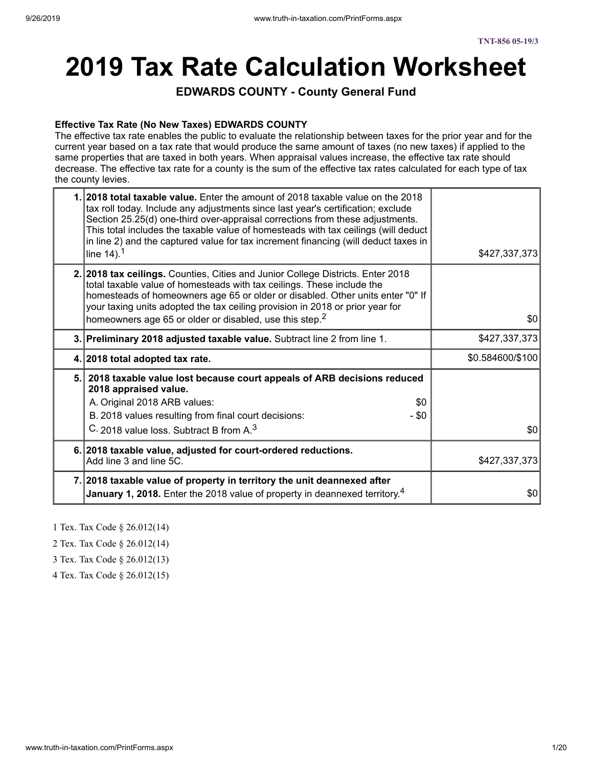# **2019 Tax Rate Calculation Worksheet**

**EDWARDS COUNTY - County General Fund**

#### **Effective Tax Rate (No New Taxes) EDWARDS COUNTY**

The effective tax rate enables the public to evaluate the relationship between taxes for the prior year and for the current year based on a tax rate that would produce the same amount of taxes (no new taxes) if applied to the same properties that are taxed in both years. When appraisal values increase, the effective tax rate should decrease. The effective tax rate for a county is the sum of the effective tax rates calculated for each type of tax the county levies.

| 1. 2018 total taxable value. Enter the amount of 2018 taxable value on the 2018<br>tax roll today. Include any adjustments since last year's certification; exclude<br>Section 25.25(d) one-third over-appraisal corrections from these adjustments.<br>This total includes the taxable value of homesteads with tax ceilings (will deduct<br>in line 2) and the captured value for tax increment financing (will deduct taxes in<br>line $14$ ). <sup>1</sup> | \$427,337,373    |
|----------------------------------------------------------------------------------------------------------------------------------------------------------------------------------------------------------------------------------------------------------------------------------------------------------------------------------------------------------------------------------------------------------------------------------------------------------------|------------------|
| 2. 2018 tax ceilings. Counties, Cities and Junior College Districts. Enter 2018<br>total taxable value of homesteads with tax ceilings. These include the<br>homesteads of homeowners age 65 or older or disabled. Other units enter "0" If<br>your taxing units adopted the tax ceiling provision in 2018 or prior year for<br>homeowners age 65 or older or disabled, use this step. <sup>2</sup>                                                            | \$0              |
| 3. Preliminary 2018 adjusted taxable value. Subtract line 2 from line 1.                                                                                                                                                                                                                                                                                                                                                                                       | \$427,337,373    |
| 4. 2018 total adopted tax rate.                                                                                                                                                                                                                                                                                                                                                                                                                                | \$0.584600/\$100 |
| 5. 2018 taxable value lost because court appeals of ARB decisions reduced<br>2018 appraised value.<br>A. Original 2018 ARB values:<br>\$0                                                                                                                                                                                                                                                                                                                      |                  |
| B. 2018 values resulting from final court decisions:<br>$-$ \$0<br>C. 2018 value loss. Subtract B from A. <sup>3</sup>                                                                                                                                                                                                                                                                                                                                         | \$0              |
|                                                                                                                                                                                                                                                                                                                                                                                                                                                                |                  |
|                                                                                                                                                                                                                                                                                                                                                                                                                                                                |                  |
| 6. 2018 taxable value, adjusted for court-ordered reductions.<br>Add line 3 and line 5C.                                                                                                                                                                                                                                                                                                                                                                       | \$427,337,373    |

- 1 Tex. Tax Code § 26.012(14)
- 2 Tex. Tax Code § 26.012(14)
- 3 Tex. Tax Code § 26.012(13)
- 4 Tex. Tax Code § 26.012(15)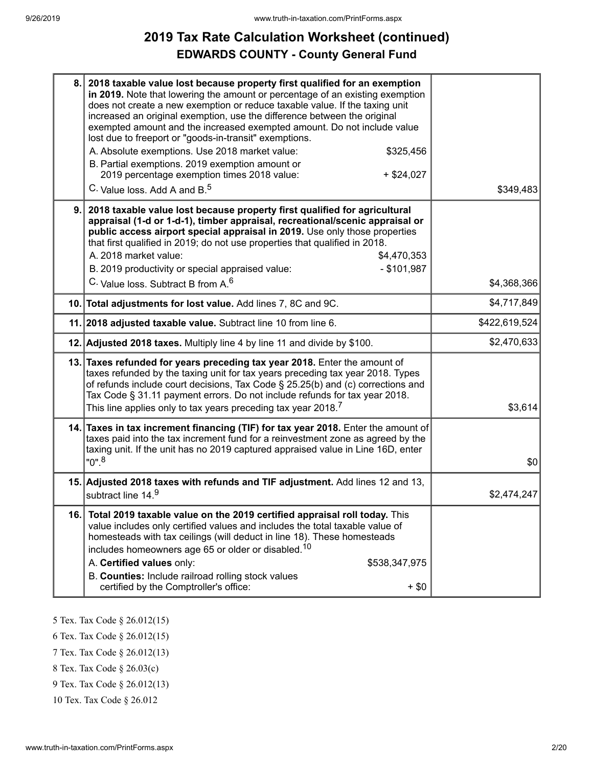# **2019 Tax Rate Calculation Worksheet (continued) EDWARDS COUNTY - County General Fund**

| 8.  | 2018 taxable value lost because property first qualified for an exemption<br>in 2019. Note that lowering the amount or percentage of an existing exemption<br>does not create a new exemption or reduce taxable value. If the taxing unit<br>increased an original exemption, use the difference between the original<br>exempted amount and the increased exempted amount. Do not include value<br>lost due to freeport or "goods-in-transit" exemptions.<br>A. Absolute exemptions. Use 2018 market value:<br>\$325,456<br>B. Partial exemptions. 2019 exemption amount or<br>2019 percentage exemption times 2018 value:<br>$+$ \$24,027<br>C. Value loss. Add A and B. <sup>5</sup> | \$349,483     |
|-----|-----------------------------------------------------------------------------------------------------------------------------------------------------------------------------------------------------------------------------------------------------------------------------------------------------------------------------------------------------------------------------------------------------------------------------------------------------------------------------------------------------------------------------------------------------------------------------------------------------------------------------------------------------------------------------------------|---------------|
| 9.  | 2018 taxable value lost because property first qualified for agricultural<br>appraisal (1-d or 1-d-1), timber appraisal, recreational/scenic appraisal or<br>public access airport special appraisal in 2019. Use only those properties<br>that first qualified in 2019; do not use properties that qualified in 2018.<br>A. 2018 market value:<br>\$4,470,353<br>B. 2019 productivity or special appraised value:<br>$-$ \$101,987<br>C. Value loss. Subtract B from A. <sup>6</sup>                                                                                                                                                                                                   | \$4,368,366   |
|     | 10. Total adjustments for lost value. Add lines 7, 8C and 9C.                                                                                                                                                                                                                                                                                                                                                                                                                                                                                                                                                                                                                           | \$4,717,849   |
|     | 11. 2018 adjusted taxable value. Subtract line 10 from line 6.                                                                                                                                                                                                                                                                                                                                                                                                                                                                                                                                                                                                                          | \$422,619,524 |
|     | 12. Adjusted 2018 taxes. Multiply line 4 by line 11 and divide by \$100.                                                                                                                                                                                                                                                                                                                                                                                                                                                                                                                                                                                                                | \$2,470,633   |
|     | 13. Taxes refunded for years preceding tax year 2018. Enter the amount of<br>taxes refunded by the taxing unit for tax years preceding tax year 2018. Types<br>of refunds include court decisions, Tax Code § 25.25(b) and (c) corrections and<br>Tax Code § 31.11 payment errors. Do not include refunds for tax year 2018.<br>This line applies only to tax years preceding tax year 2018. $^7$                                                                                                                                                                                                                                                                                       | \$3,614       |
|     | 14. Taxes in tax increment financing (TIF) for tax year 2018. Enter the amount of<br>taxes paid into the tax increment fund for a reinvestment zone as agreed by the<br>taxing unit. If the unit has no 2019 captured appraised value in Line 16D, enter<br>$"0"$ . <sup>8</sup>                                                                                                                                                                                                                                                                                                                                                                                                        | \$0           |
|     | 15. Adjusted 2018 taxes with refunds and TIF adjustment. Add lines 12 and 13,<br>subtract line 14.9                                                                                                                                                                                                                                                                                                                                                                                                                                                                                                                                                                                     | \$2,474,247   |
| 16. | Total 2019 taxable value on the 2019 certified appraisal roll today. This<br>value includes only certified values and includes the total taxable value of<br>homesteads with tax ceilings (will deduct in line 18). These homesteads<br>includes homeowners age 65 or older or disabled. <sup>10</sup><br>A. Certified values only:<br>\$538,347,975<br>B. Counties: Include railroad rolling stock values<br>certified by the Comptroller's office:<br>$+$ \$0                                                                                                                                                                                                                         |               |

- 5 Tex. Tax Code § 26.012(15)
- 6 Tex. Tax Code § 26.012(15)
- 7 Tex. Tax Code § 26.012(13)
- 8 Tex. Tax Code § 26.03(c)
- 9 Tex. Tax Code § 26.012(13)
- 10 Tex. Tax Code § 26.012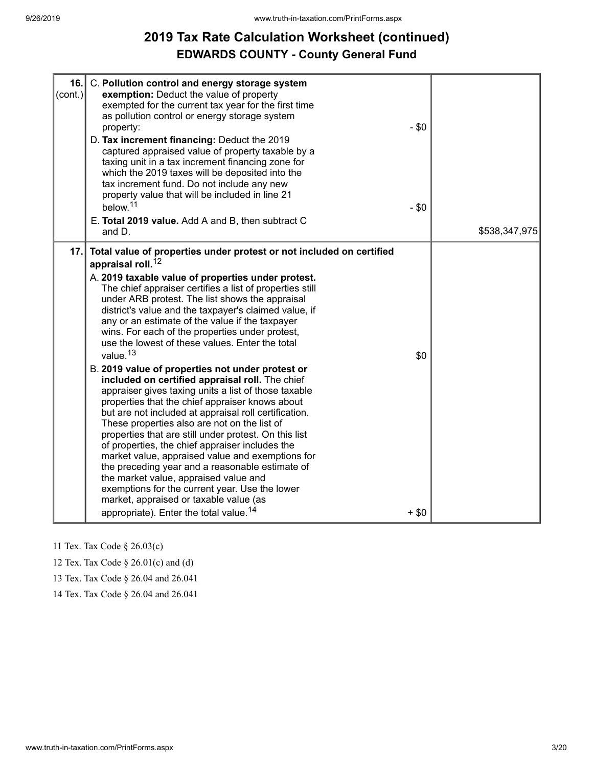## **2019 Tax Rate Calculation Worksheet (continued) EDWARDS COUNTY - County General Fund**

| 16.<br>$\text{(cont.)}$ | C. Pollution control and energy storage system<br>exemption: Deduct the value of property<br>exempted for the current tax year for the first time<br>as pollution control or energy storage system<br>property:<br>D. Tax increment financing: Deduct the 2019<br>captured appraised value of property taxable by a<br>taxing unit in a tax increment financing zone for<br>which the 2019 taxes will be deposited into the<br>tax increment fund. Do not include any new<br>property value that will be included in line 21<br>below. <sup>11</sup><br>E. Total 2019 value. Add A and B, then subtract C<br>and D.                                                                                                                                                                                                                                                                                                                                                                                                                                                                                                                                                                                                                                           | $-$ \$0<br>$-$ \$0 | \$538,347,975 |
|-------------------------|---------------------------------------------------------------------------------------------------------------------------------------------------------------------------------------------------------------------------------------------------------------------------------------------------------------------------------------------------------------------------------------------------------------------------------------------------------------------------------------------------------------------------------------------------------------------------------------------------------------------------------------------------------------------------------------------------------------------------------------------------------------------------------------------------------------------------------------------------------------------------------------------------------------------------------------------------------------------------------------------------------------------------------------------------------------------------------------------------------------------------------------------------------------------------------------------------------------------------------------------------------------|--------------------|---------------|
| 17.                     | Total value of properties under protest or not included on certified<br>appraisal roll. <sup>12</sup><br>A. 2019 taxable value of properties under protest.<br>The chief appraiser certifies a list of properties still<br>under ARB protest. The list shows the appraisal<br>district's value and the taxpayer's claimed value, if<br>any or an estimate of the value if the taxpayer<br>wins. For each of the properties under protest,<br>use the lowest of these values. Enter the total<br>value. <sup>13</sup><br>B. 2019 value of properties not under protest or<br>included on certified appraisal roll. The chief<br>appraiser gives taxing units a list of those taxable<br>properties that the chief appraiser knows about<br>but are not included at appraisal roll certification.<br>These properties also are not on the list of<br>properties that are still under protest. On this list<br>of properties, the chief appraiser includes the<br>market value, appraised value and exemptions for<br>the preceding year and a reasonable estimate of<br>the market value, appraised value and<br>exemptions for the current year. Use the lower<br>market, appraised or taxable value (as<br>appropriate). Enter the total value. <sup>14</sup> | \$0<br>$+$ \$0     |               |

11 Tex. Tax Code § 26.03(c)

12 Tex. Tax Code § 26.01(c) and (d)

13 Tex. Tax Code § 26.04 and 26.041

14 Tex. Tax Code § 26.04 and 26.041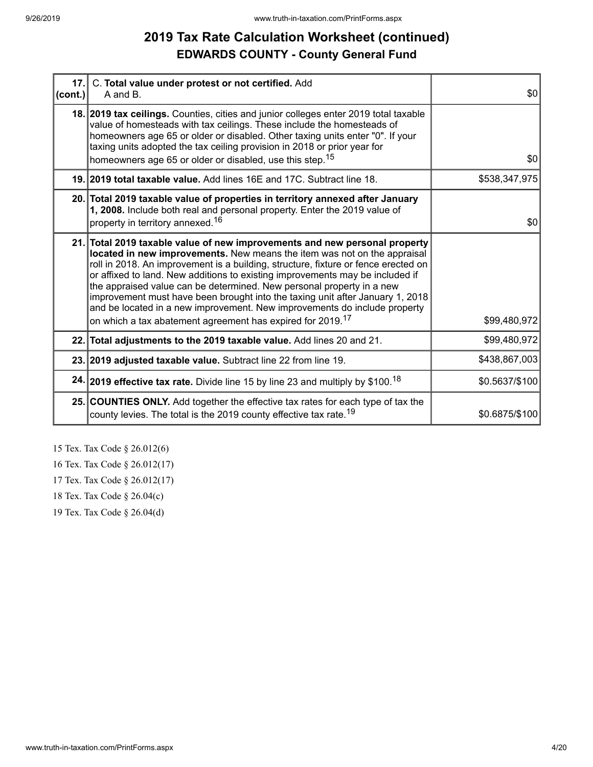# **2019 Tax Rate Calculation Worksheet (continued) EDWARDS COUNTY - County General Fund**

| $ $ (cont.) | 17. C. Total value under protest or not certified. Add<br>A and B.                                                                                                                                                                                                                                                                                                                                                                                                                                                                                                                                                                             | \$0            |
|-------------|------------------------------------------------------------------------------------------------------------------------------------------------------------------------------------------------------------------------------------------------------------------------------------------------------------------------------------------------------------------------------------------------------------------------------------------------------------------------------------------------------------------------------------------------------------------------------------------------------------------------------------------------|----------------|
|             | 18. 2019 tax ceilings. Counties, cities and junior colleges enter 2019 total taxable<br>value of homesteads with tax ceilings. These include the homesteads of<br>homeowners age 65 or older or disabled. Other taxing units enter "0". If your<br>taxing units adopted the tax ceiling provision in 2018 or prior year for<br>homeowners age 65 or older or disabled, use this step. <sup>15</sup>                                                                                                                                                                                                                                            | \$0            |
|             | 19. 2019 total taxable value. Add lines 16E and 17C. Subtract line 18.                                                                                                                                                                                                                                                                                                                                                                                                                                                                                                                                                                         | \$538,347,975  |
|             |                                                                                                                                                                                                                                                                                                                                                                                                                                                                                                                                                                                                                                                |                |
|             | 20. Total 2019 taxable value of properties in territory annexed after January<br>1, 2008. Include both real and personal property. Enter the 2019 value of<br>property in territory annexed. <sup>16</sup>                                                                                                                                                                                                                                                                                                                                                                                                                                     | \$0            |
|             |                                                                                                                                                                                                                                                                                                                                                                                                                                                                                                                                                                                                                                                |                |
|             | 21. Total 2019 taxable value of new improvements and new personal property<br>located in new improvements. New means the item was not on the appraisal<br>roll in 2018. An improvement is a building, structure, fixture or fence erected on<br>or affixed to land. New additions to existing improvements may be included if<br>the appraised value can be determined. New personal property in a new<br>improvement must have been brought into the taxing unit after January 1, 2018<br>and be located in a new improvement. New improvements do include property<br>on which a tax abatement agreement has expired for 2019. <sup>17</sup> | \$99,480,972   |
|             | 22. Total adjustments to the 2019 taxable value. Add lines 20 and 21.                                                                                                                                                                                                                                                                                                                                                                                                                                                                                                                                                                          | \$99,480,972   |
|             | 23. 2019 adjusted taxable value. Subtract line 22 from line 19.                                                                                                                                                                                                                                                                                                                                                                                                                                                                                                                                                                                | \$438,867,003  |
|             | 24. 2019 effective tax rate. Divide line 15 by line 23 and multiply by \$100. <sup>18</sup>                                                                                                                                                                                                                                                                                                                                                                                                                                                                                                                                                    | \$0.5637/\$100 |
|             | 25. COUNTIES ONLY. Add together the effective tax rates for each type of tax the<br>county levies. The total is the 2019 county effective tax rate. <sup>19</sup>                                                                                                                                                                                                                                                                                                                                                                                                                                                                              | \$0.6875/\$100 |

15 Tex. Tax Code § 26.012(6)

16 Tex. Tax Code § 26.012(17)

17 Tex. Tax Code § 26.012(17)

18 Tex. Tax Code § 26.04(c)

19 Tex. Tax Code § 26.04(d)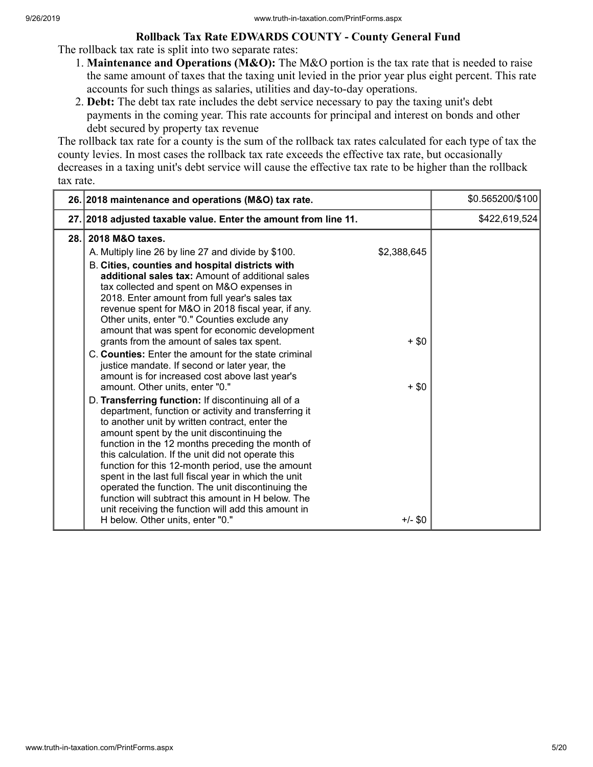#### **Rollback Tax Rate EDWARDS COUNTY - County General Fund**

The rollback tax rate is split into two separate rates:

- 1. **Maintenance and Operations (M&O):** The M&O portion is the tax rate that is needed to raise the same amount of taxes that the taxing unit levied in the prior year plus eight percent. This rate accounts for such things as salaries, utilities and day-to-day operations.
- 2. **Debt:** The debt tax rate includes the debt service necessary to pay the taxing unit's debt payments in the coming year. This rate accounts for principal and interest on bonds and other debt secured by property tax revenue

The rollback tax rate for a county is the sum of the rollback tax rates calculated for each type of tax the county levies. In most cases the rollback tax rate exceeds the effective tax rate, but occasionally decreases in a taxing unit's debt service will cause the effective tax rate to be higher than the rollback tax rate.

|      | 26. 2018 maintenance and operations (M&O) tax rate.                                                                                                                                                                                                                                                                                                                                                                                                                                                                                                                                                                                                                                                                                                                                                                                                                                                                                                                                                                                                                                                                                                                                                                                                                                                                           | \$0.565200/\$100 |
|------|-------------------------------------------------------------------------------------------------------------------------------------------------------------------------------------------------------------------------------------------------------------------------------------------------------------------------------------------------------------------------------------------------------------------------------------------------------------------------------------------------------------------------------------------------------------------------------------------------------------------------------------------------------------------------------------------------------------------------------------------------------------------------------------------------------------------------------------------------------------------------------------------------------------------------------------------------------------------------------------------------------------------------------------------------------------------------------------------------------------------------------------------------------------------------------------------------------------------------------------------------------------------------------------------------------------------------------|------------------|
|      | 27. 2018 adjusted taxable value. Enter the amount from line 11.                                                                                                                                                                                                                                                                                                                                                                                                                                                                                                                                                                                                                                                                                                                                                                                                                                                                                                                                                                                                                                                                                                                                                                                                                                                               | \$422,619,524    |
| 28.1 | 2018 M&O taxes.<br>\$2,388,645<br>A. Multiply line 26 by line 27 and divide by \$100.<br>B. Cities, counties and hospital districts with<br>additional sales tax: Amount of additional sales<br>tax collected and spent on M&O expenses in<br>2018. Enter amount from full year's sales tax<br>revenue spent for M&O in 2018 fiscal year, if any.<br>Other units, enter "0." Counties exclude any<br>amount that was spent for economic development<br>grants from the amount of sales tax spent.<br>$+$ \$0<br>C. Counties: Enter the amount for the state criminal<br>justice mandate. If second or later year, the<br>amount is for increased cost above last year's<br>amount. Other units, enter "0."<br>$+$ \$0<br>D. Transferring function: If discontinuing all of a<br>department, function or activity and transferring it<br>to another unit by written contract, enter the<br>amount spent by the unit discontinuing the<br>function in the 12 months preceding the month of<br>this calculation. If the unit did not operate this<br>function for this 12-month period, use the amount<br>spent in the last full fiscal year in which the unit<br>operated the function. The unit discontinuing the<br>function will subtract this amount in H below. The<br>unit receiving the function will add this amount in |                  |
|      | $+/-$ \$0<br>H below. Other units, enter "0."                                                                                                                                                                                                                                                                                                                                                                                                                                                                                                                                                                                                                                                                                                                                                                                                                                                                                                                                                                                                                                                                                                                                                                                                                                                                                 |                  |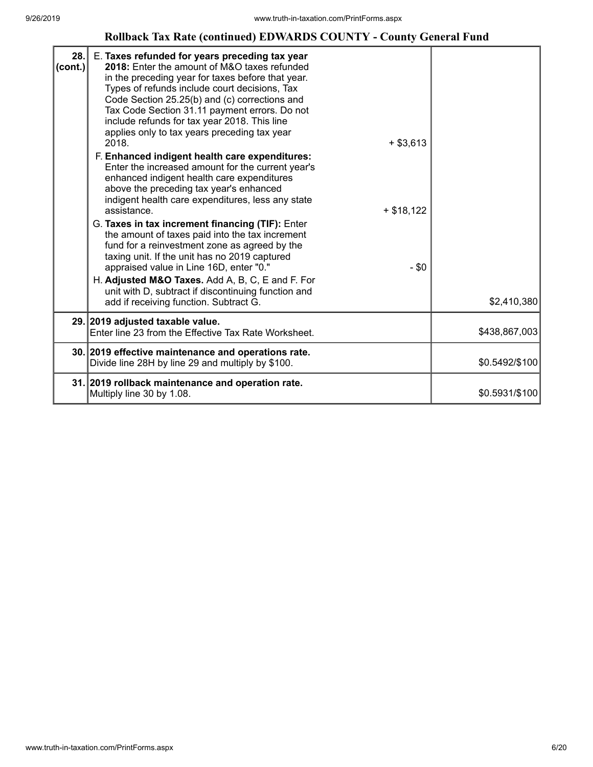#### **Rollback Tax Rate (continued) EDWARDS COUNTY - County General Fund**

| 28.<br>$ cont.$ ) | E. Taxes refunded for years preceding tax year<br>2018: Enter the amount of M&O taxes refunded<br>in the preceding year for taxes before that year.<br>Types of refunds include court decisions, Tax<br>Code Section 25.25(b) and (c) corrections and<br>Tax Code Section 31.11 payment errors. Do not<br>include refunds for tax year 2018. This line<br>applies only to tax years preceding tax year<br>2018.<br>$+$ \$3,613<br>F. Enhanced indigent health care expenditures:<br>Enter the increased amount for the current year's<br>enhanced indigent health care expenditures<br>above the preceding tax year's enhanced<br>indigent health care expenditures, less any state<br>assistance.<br>$+ $18,122$<br>G. Taxes in tax increment financing (TIF): Enter<br>the amount of taxes paid into the tax increment<br>fund for a reinvestment zone as agreed by the<br>taxing unit. If the unit has no 2019 captured<br>appraised value in Line 16D, enter "0."<br>$-$ \$0<br>H. Adjusted M&O Taxes. Add A, B, C, E and F. For<br>unit with D, subtract if discontinuing function and<br>add if receiving function. Subtract G. | \$2,410,380    |
|-------------------|---------------------------------------------------------------------------------------------------------------------------------------------------------------------------------------------------------------------------------------------------------------------------------------------------------------------------------------------------------------------------------------------------------------------------------------------------------------------------------------------------------------------------------------------------------------------------------------------------------------------------------------------------------------------------------------------------------------------------------------------------------------------------------------------------------------------------------------------------------------------------------------------------------------------------------------------------------------------------------------------------------------------------------------------------------------------------------------------------------------------------------------|----------------|
|                   | 29. 2019 adjusted taxable value.<br>Enter line 23 from the Effective Tax Rate Worksheet.                                                                                                                                                                                                                                                                                                                                                                                                                                                                                                                                                                                                                                                                                                                                                                                                                                                                                                                                                                                                                                              | \$438,867,003  |
|                   | 30. 2019 effective maintenance and operations rate.<br>Divide line 28H by line 29 and multiply by \$100.                                                                                                                                                                                                                                                                                                                                                                                                                                                                                                                                                                                                                                                                                                                                                                                                                                                                                                                                                                                                                              | \$0.5492/\$100 |
|                   | 31. 2019 rollback maintenance and operation rate.<br>Multiply line 30 by 1.08.                                                                                                                                                                                                                                                                                                                                                                                                                                                                                                                                                                                                                                                                                                                                                                                                                                                                                                                                                                                                                                                        | \$0.5931/\$100 |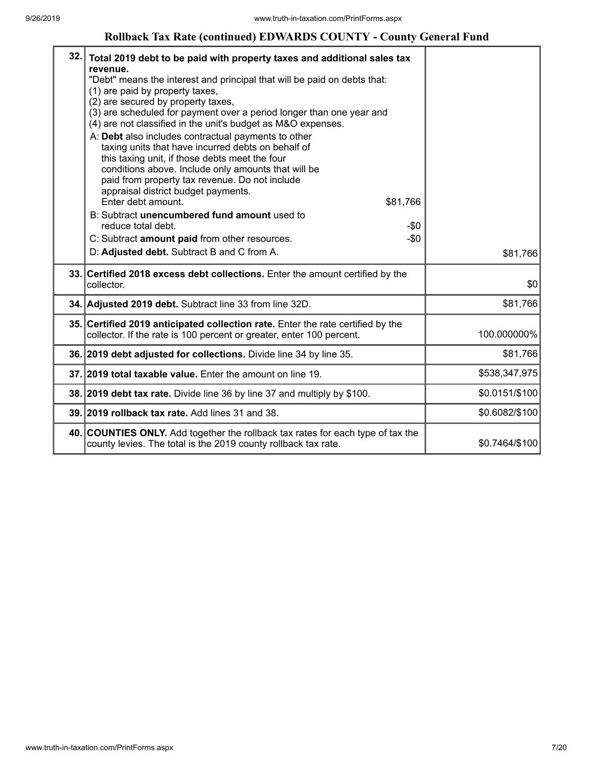#### **Rollback Tax Rate (continued) EDWARDS COUNTY - County General Fund**

| 32. | Total 2019 debt to be paid with property taxes and additional sales tax<br>revenue.<br>"Debt" means the interest and principal that will be paid on debts that:<br>(1) are paid by property taxes,<br>(2) are secured by property taxes,<br>(3) are scheduled for payment over a period longer than one year and<br>(4) are not classified in the unit's budget as M&O expenses.<br>A: Debt also includes contractual payments to other<br>taxing units that have incurred debts on behalf of<br>this taxing unit, if those debts meet the four<br>conditions above. Include only amounts that will be<br>paid from property tax revenue. Do not include<br>appraisal district budget payments.<br>Enter debt amount.<br>\$81,766<br>B: Subtract unencumbered fund amount used to<br>reduce total debt.<br>$-\$0$<br>$-\$0$<br>C: Subtract amount paid from other resources.<br>D: Adjusted debt. Subtract B and C from A. | \$81,766       |
|-----|----------------------------------------------------------------------------------------------------------------------------------------------------------------------------------------------------------------------------------------------------------------------------------------------------------------------------------------------------------------------------------------------------------------------------------------------------------------------------------------------------------------------------------------------------------------------------------------------------------------------------------------------------------------------------------------------------------------------------------------------------------------------------------------------------------------------------------------------------------------------------------------------------------------------------|----------------|
|     | 33. Certified 2018 excess debt collections. Enter the amount certified by the<br>collector.                                                                                                                                                                                                                                                                                                                                                                                                                                                                                                                                                                                                                                                                                                                                                                                                                                | \$0            |
|     | 34. Adjusted 2019 debt. Subtract line 33 from line 32D.                                                                                                                                                                                                                                                                                                                                                                                                                                                                                                                                                                                                                                                                                                                                                                                                                                                                    | \$81,766       |
|     | 35. Certified 2019 anticipated collection rate. Enter the rate certified by the<br>collector. If the rate is 100 percent or greater, enter 100 percent.                                                                                                                                                                                                                                                                                                                                                                                                                                                                                                                                                                                                                                                                                                                                                                    | 100.000000%    |
|     | 36. 2019 debt adjusted for collections. Divide line 34 by line 35.                                                                                                                                                                                                                                                                                                                                                                                                                                                                                                                                                                                                                                                                                                                                                                                                                                                         | \$81,766       |
|     | 37. 2019 total taxable value. Enter the amount on line 19.                                                                                                                                                                                                                                                                                                                                                                                                                                                                                                                                                                                                                                                                                                                                                                                                                                                                 | \$538,347,975  |
|     | 38. 2019 debt tax rate. Divide line 36 by line 37 and multiply by \$100.                                                                                                                                                                                                                                                                                                                                                                                                                                                                                                                                                                                                                                                                                                                                                                                                                                                   | \$0.0151/\$100 |
|     | 39. 2019 rollback tax rate. Add lines 31 and 38.                                                                                                                                                                                                                                                                                                                                                                                                                                                                                                                                                                                                                                                                                                                                                                                                                                                                           | \$0.6082/\$100 |
|     | 40. COUNTIES ONLY. Add together the rollback tax rates for each type of tax the<br>county levies. The total is the 2019 county rollback tax rate.                                                                                                                                                                                                                                                                                                                                                                                                                                                                                                                                                                                                                                                                                                                                                                          | \$0.7464/\$100 |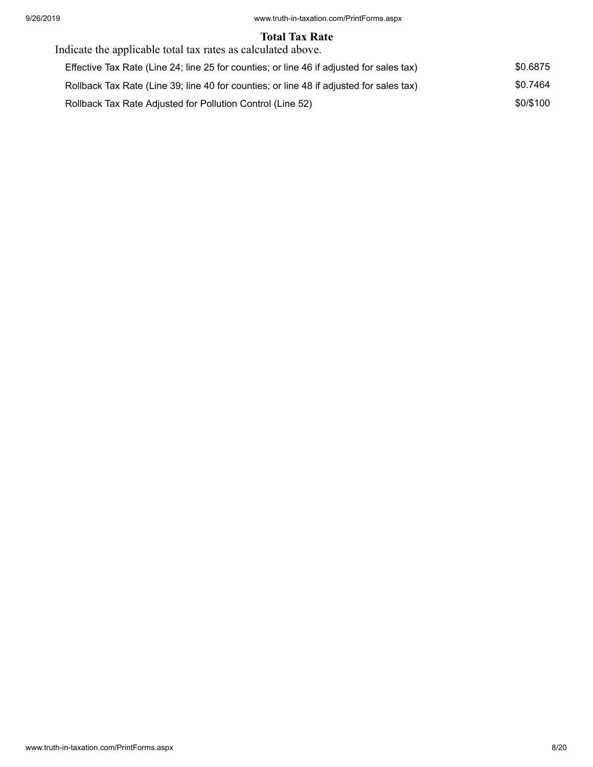#### **Total Tax Rate**

| Indicate the applicable total tax rates as calculated above.                             |           |
|------------------------------------------------------------------------------------------|-----------|
| Effective Tax Rate (Line 24; line 25 for counties; or line 46 if adjusted for sales tax) | \$0.6875  |
| Rollback Tax Rate (Line 39; line 40 for counties; or line 48 if adjusted for sales tax)  | \$0.7464  |
| Rollback Tax Rate Adjusted for Pollution Control (Line 52)                               | \$0/\$100 |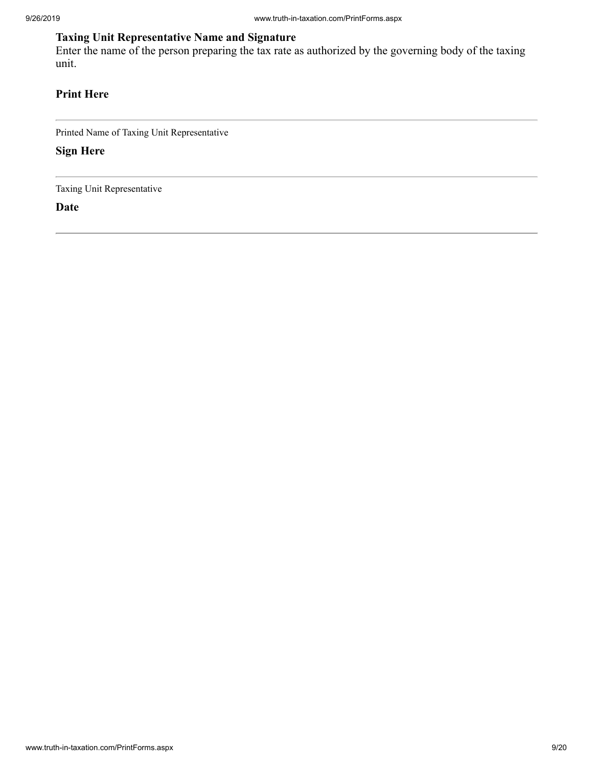## **Taxing Unit Representative Name and Signature**

Enter the name of the person preparing the tax rate as authorized by the governing body of the taxing unit.

## **Print Here**

Printed Name of Taxing Unit Representative

**Sign Here**

Taxing Unit Representative

**Date**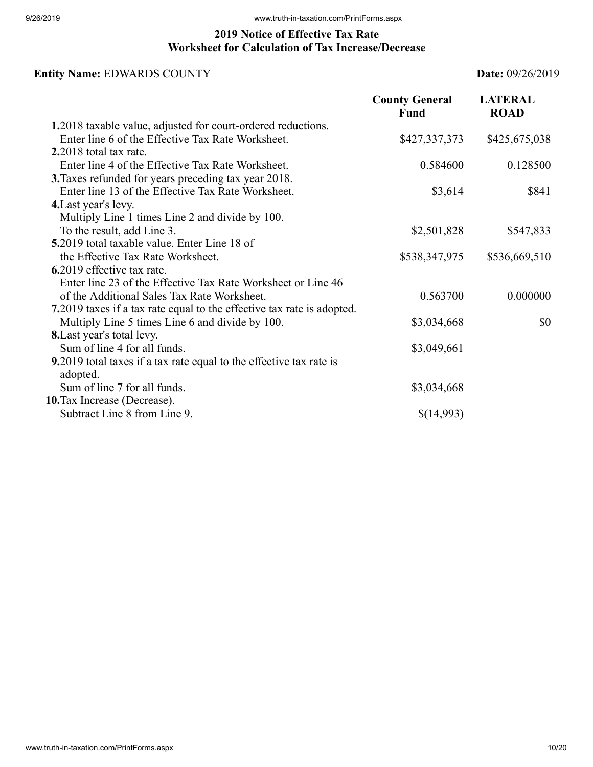## **2019 Notice of Effective Tax Rate Worksheet for Calculation of Tax Increase/Decrease**

## **Entity Name:** EDWARDS COUNTY **Date:** 09/26/2019

|                                                                                 | <b>County General</b><br>Fund | <b>LATERAL</b><br><b>ROAD</b> |
|---------------------------------------------------------------------------------|-------------------------------|-------------------------------|
| 1.2018 taxable value, adjusted for court-ordered reductions.                    |                               |                               |
| Enter line 6 of the Effective Tax Rate Worksheet.                               | \$427,337,373                 | \$425,675,038                 |
| $2.2018$ total tax rate.                                                        |                               |                               |
| Enter line 4 of the Effective Tax Rate Worksheet.                               | 0.584600                      | 0.128500                      |
| 3. Taxes refunded for years preceding tax year 2018.                            |                               |                               |
| Enter line 13 of the Effective Tax Rate Worksheet.                              | \$3,614                       | \$841                         |
| 4. Last year's levy.                                                            |                               |                               |
| Multiply Line 1 times Line 2 and divide by 100.                                 |                               |                               |
| To the result, add Line 3.                                                      | \$2,501,828                   | \$547,833                     |
| 5.2019 total taxable value. Enter Line 18 of                                    |                               |                               |
| the Effective Tax Rate Worksheet.                                               | \$538,347,975                 | \$536,669,510                 |
| 6.2019 effective tax rate.                                                      |                               |                               |
| Enter line 23 of the Effective Tax Rate Worksheet or Line 46                    |                               |                               |
| of the Additional Sales Tax Rate Worksheet.                                     | 0.563700                      | 0.000000                      |
| 7.2019 taxes if a tax rate equal to the effective tax rate is adopted.          |                               |                               |
| Multiply Line 5 times Line 6 and divide by 100.                                 | \$3,034,668                   | \$0                           |
| <b>8.</b> Last year's total levy.                                               |                               |                               |
| Sum of line 4 for all funds.                                                    | \$3,049,661                   |                               |
| 9.2019 total taxes if a tax rate equal to the effective tax rate is<br>adopted. |                               |                               |
| Sum of line 7 for all funds.                                                    | \$3,034,668                   |                               |
| 10. Tax Increase (Decrease).                                                    |                               |                               |
| Subtract Line 8 from Line 9.                                                    | \$(14,993)                    |                               |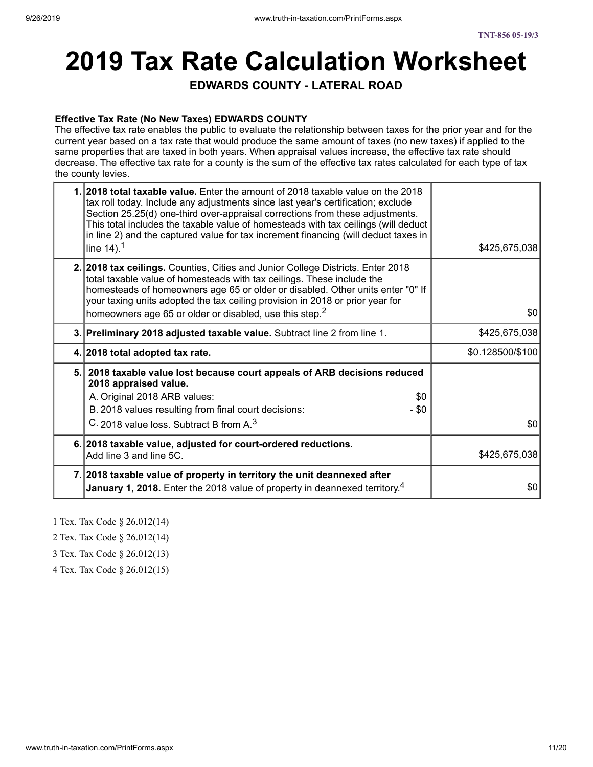# **2019 Tax Rate Calculation Worksheet**

**EDWARDS COUNTY - LATERAL ROAD**

#### **Effective Tax Rate (No New Taxes) EDWARDS COUNTY**

The effective tax rate enables the public to evaluate the relationship between taxes for the prior year and for the current year based on a tax rate that would produce the same amount of taxes (no new taxes) if applied to the same properties that are taxed in both years. When appraisal values increase, the effective tax rate should decrease. The effective tax rate for a county is the sum of the effective tax rates calculated for each type of tax the county levies.

| <b>2018 total taxable value.</b> Enter the amount of 2018 taxable value on the 2018<br>tax roll today. Include any adjustments since last year's certification; exclude<br>Section 25.25(d) one-third over-appraisal corrections from these adjustments.<br>This total includes the taxable value of homesteads with tax ceilings (will deduct<br>in line 2) and the captured value for tax increment financing (will deduct taxes in<br>line $14$ ). <sup>1</sup> | \$425,675,038    |
|--------------------------------------------------------------------------------------------------------------------------------------------------------------------------------------------------------------------------------------------------------------------------------------------------------------------------------------------------------------------------------------------------------------------------------------------------------------------|------------------|
| 2. 2018 tax ceilings. Counties, Cities and Junior College Districts. Enter 2018<br>total taxable value of homesteads with tax ceilings. These include the<br>homesteads of homeowners age 65 or older or disabled. Other units enter "0" If<br>your taxing units adopted the tax ceiling provision in 2018 or prior year for<br>homeowners age 65 or older or disabled, use this step. <sup>2</sup>                                                                | 30               |
| 3. Preliminary 2018 adjusted taxable value. Subtract line 2 from line 1.                                                                                                                                                                                                                                                                                                                                                                                           | \$425,675,038    |
| 4. 2018 total adopted tax rate.                                                                                                                                                                                                                                                                                                                                                                                                                                    | \$0.128500/\$100 |
| 5. 2018 taxable value lost because court appeals of ARB decisions reduced<br>2018 appraised value.<br>A. Original 2018 ARB values:<br>\$0<br>B. 2018 values resulting from final court decisions:<br>- \$0                                                                                                                                                                                                                                                         |                  |
| C. 2018 value loss. Subtract B from A. <sup>3</sup>                                                                                                                                                                                                                                                                                                                                                                                                                | \$0              |
| 6. 2018 taxable value, adjusted for court-ordered reductions.<br>Add line 3 and line 5C.                                                                                                                                                                                                                                                                                                                                                                           | \$425,675,038    |
| 7. 2018 taxable value of property in territory the unit deannexed after<br>January 1, 2018. Enter the 2018 value of property in deannexed territory. <sup>4</sup>                                                                                                                                                                                                                                                                                                  | \$0              |

1 Tex. Tax Code § 26.012(14)

2 Tex. Tax Code § 26.012(14)

3 Tex. Tax Code § 26.012(13)

4 Tex. Tax Code § 26.012(15)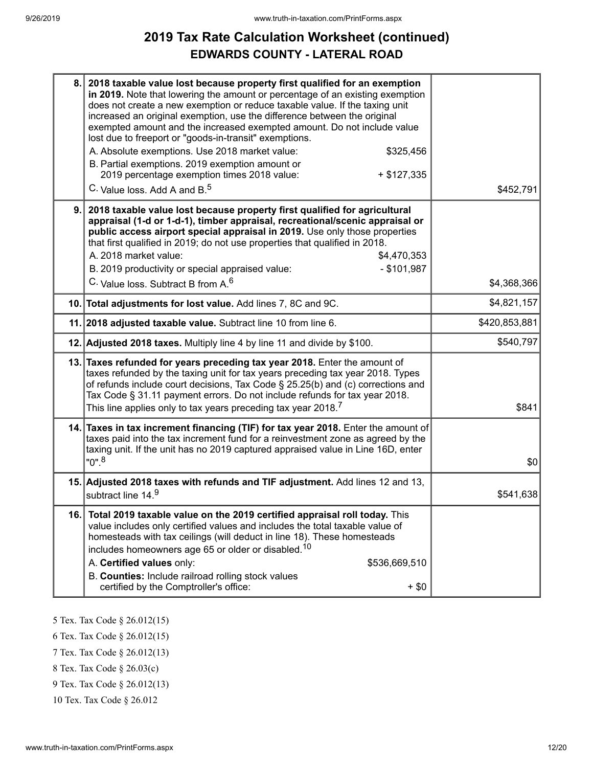# **2019 Tax Rate Calculation Worksheet (continued) EDWARDS COUNTY - LATERAL ROAD**

| 8.  | 2018 taxable value lost because property first qualified for an exemption<br>in 2019. Note that lowering the amount or percentage of an existing exemption<br>does not create a new exemption or reduce taxable value. If the taxing unit<br>increased an original exemption, use the difference between the original<br>exempted amount and the increased exempted amount. Do not include value<br>lost due to freeport or "goods-in-transit" exemptions.<br>A. Absolute exemptions. Use 2018 market value:<br>\$325,456<br>B. Partial exemptions. 2019 exemption amount or<br>2019 percentage exemption times 2018 value:<br>$+ $127,335$<br>C. Value loss. Add A and B. <sup>5</sup> | \$452,791     |
|-----|-----------------------------------------------------------------------------------------------------------------------------------------------------------------------------------------------------------------------------------------------------------------------------------------------------------------------------------------------------------------------------------------------------------------------------------------------------------------------------------------------------------------------------------------------------------------------------------------------------------------------------------------------------------------------------------------|---------------|
| 9.  | 2018 taxable value lost because property first qualified for agricultural<br>appraisal (1-d or 1-d-1), timber appraisal, recreational/scenic appraisal or<br>public access airport special appraisal in 2019. Use only those properties<br>that first qualified in 2019; do not use properties that qualified in 2018.<br>A. 2018 market value:<br>\$4,470,353<br>B. 2019 productivity or special appraised value:<br>$-$ \$101,987<br>C. Value loss. Subtract B from A. <sup>6</sup>                                                                                                                                                                                                   | \$4,368,366   |
|     | 10. Total adjustments for lost value. Add lines 7, 8C and 9C.                                                                                                                                                                                                                                                                                                                                                                                                                                                                                                                                                                                                                           | \$4,821,157   |
|     | 11. 2018 adjusted taxable value. Subtract line 10 from line 6.                                                                                                                                                                                                                                                                                                                                                                                                                                                                                                                                                                                                                          | \$420,853,881 |
|     | 12. Adjusted 2018 taxes. Multiply line 4 by line 11 and divide by \$100.                                                                                                                                                                                                                                                                                                                                                                                                                                                                                                                                                                                                                | \$540,797     |
|     | 13. Taxes refunded for years preceding tax year 2018. Enter the amount of<br>taxes refunded by the taxing unit for tax years preceding tax year 2018. Types<br>of refunds include court decisions, Tax Code § 25.25(b) and (c) corrections and<br>Tax Code § 31.11 payment errors. Do not include refunds for tax year 2018.<br>This line applies only to tax years preceding tax year 2018. <sup>7</sup>                                                                                                                                                                                                                                                                               | \$841         |
|     | 14. Taxes in tax increment financing (TIF) for tax year 2018. Enter the amount of<br>taxes paid into the tax increment fund for a reinvestment zone as agreed by the<br>taxing unit. If the unit has no 2019 captured appraised value in Line 16D, enter<br>$"0"$ . <sup>8</sup>                                                                                                                                                                                                                                                                                                                                                                                                        | \$0           |
|     | 15. Adjusted 2018 taxes with refunds and TIF adjustment. Add lines 12 and 13,<br>subtract line 14.9                                                                                                                                                                                                                                                                                                                                                                                                                                                                                                                                                                                     | \$541,638     |
| 16. | Total 2019 taxable value on the 2019 certified appraisal roll today. This<br>value includes only certified values and includes the total taxable value of<br>homesteads with tax ceilings (will deduct in line 18). These homesteads<br>includes homeowners age 65 or older or disabled. <sup>10</sup><br>A. Certified values only:<br>\$536,669,510<br>B. Counties: Include railroad rolling stock values<br>certified by the Comptroller's office:<br>$+$ \$0                                                                                                                                                                                                                         |               |

5 Tex. Tax Code § 26.012(15)

6 Tex. Tax Code § 26.012(15)

7 Tex. Tax Code § 26.012(13)

8 Tex. Tax Code § 26.03(c)

9 Tex. Tax Code § 26.012(13)

10 Tex. Tax Code § 26.012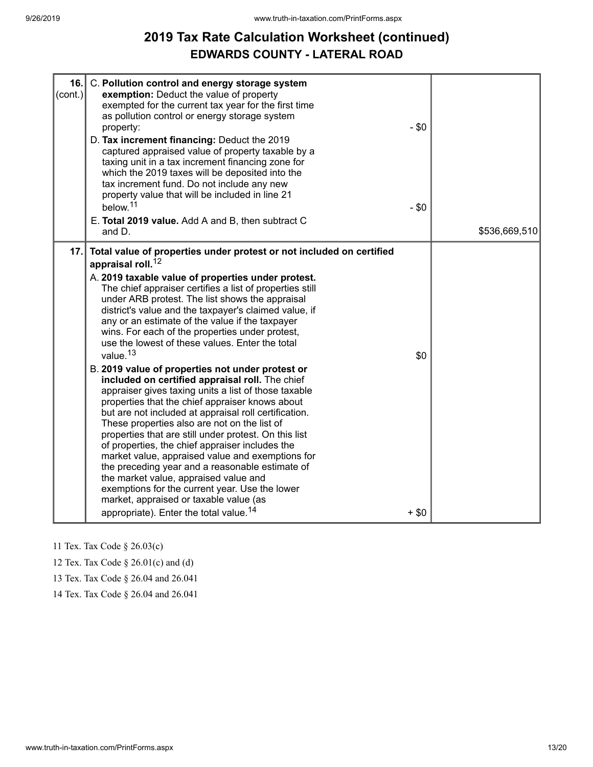# **2019 Tax Rate Calculation Worksheet (continued) EDWARDS COUNTY - LATERAL ROAD**

| 16.<br>$\text{(cont.)}$ | C. Pollution control and energy storage system<br>exemption: Deduct the value of property<br>exempted for the current tax year for the first time<br>as pollution control or energy storage system<br>property:<br>D. Tax increment financing: Deduct the 2019<br>captured appraised value of property taxable by a<br>taxing unit in a tax increment financing zone for<br>which the 2019 taxes will be deposited into the<br>tax increment fund. Do not include any new<br>property value that will be included in line 21<br>below. <sup>11</sup><br>E. Total 2019 value. Add A and B, then subtract C<br>and D.                                                                                                                                                                                                                                                                                                                                                                                                                                                                                                                                                                                                                                           | $-$ \$0<br>$-$ \$0 | \$536,669,510 |
|-------------------------|---------------------------------------------------------------------------------------------------------------------------------------------------------------------------------------------------------------------------------------------------------------------------------------------------------------------------------------------------------------------------------------------------------------------------------------------------------------------------------------------------------------------------------------------------------------------------------------------------------------------------------------------------------------------------------------------------------------------------------------------------------------------------------------------------------------------------------------------------------------------------------------------------------------------------------------------------------------------------------------------------------------------------------------------------------------------------------------------------------------------------------------------------------------------------------------------------------------------------------------------------------------|--------------------|---------------|
| 17.                     | Total value of properties under protest or not included on certified<br>appraisal roll. <sup>12</sup><br>A. 2019 taxable value of properties under protest.<br>The chief appraiser certifies a list of properties still<br>under ARB protest. The list shows the appraisal<br>district's value and the taxpayer's claimed value, if<br>any or an estimate of the value if the taxpayer<br>wins. For each of the properties under protest,<br>use the lowest of these values. Enter the total<br>value. <sup>13</sup><br>B. 2019 value of properties not under protest or<br>included on certified appraisal roll. The chief<br>appraiser gives taxing units a list of those taxable<br>properties that the chief appraiser knows about<br>but are not included at appraisal roll certification.<br>These properties also are not on the list of<br>properties that are still under protest. On this list<br>of properties, the chief appraiser includes the<br>market value, appraised value and exemptions for<br>the preceding year and a reasonable estimate of<br>the market value, appraised value and<br>exemptions for the current year. Use the lower<br>market, appraised or taxable value (as<br>appropriate). Enter the total value. <sup>14</sup> | \$0<br>$+$ \$0     |               |

11 Tex. Tax Code § 26.03(c)

12 Tex. Tax Code § 26.01(c) and (d)

13 Tex. Tax Code § 26.04 and 26.041

14 Tex. Tax Code § 26.04 and 26.041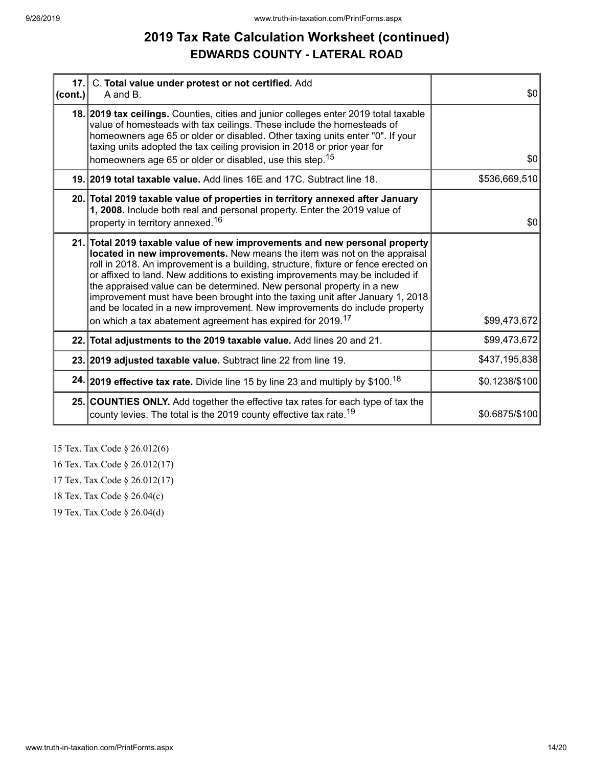# **2019 Tax Rate Calculation Worksheet (continued) EDWARDS COUNTY - LATERAL ROAD**

| $ cont. \rangle$ | 17. C. Total value under protest or not certified. Add<br>A and B.                                                                                                                                                                                                                                                                                                                                                                                                                                                                                                   | \$0            |
|------------------|----------------------------------------------------------------------------------------------------------------------------------------------------------------------------------------------------------------------------------------------------------------------------------------------------------------------------------------------------------------------------------------------------------------------------------------------------------------------------------------------------------------------------------------------------------------------|----------------|
|                  | 18. 2019 tax ceilings. Counties, cities and junior colleges enter 2019 total taxable<br>value of homesteads with tax ceilings. These include the homesteads of<br>homeowners age 65 or older or disabled. Other taxing units enter "0". If your<br>taxing units adopted the tax ceiling provision in 2018 or prior year for                                                                                                                                                                                                                                          |                |
|                  | homeowners age 65 or older or disabled, use this step. <sup>15</sup>                                                                                                                                                                                                                                                                                                                                                                                                                                                                                                 | \$0            |
|                  | 19. 2019 total taxable value. Add lines 16E and 17C. Subtract line 18.                                                                                                                                                                                                                                                                                                                                                                                                                                                                                               | \$536,669,510  |
|                  | 20. Total 2019 taxable value of properties in territory annexed after January<br>1, 2008. Include both real and personal property. Enter the 2019 value of<br>property in territory annexed. <sup>16</sup>                                                                                                                                                                                                                                                                                                                                                           | \$0            |
|                  |                                                                                                                                                                                                                                                                                                                                                                                                                                                                                                                                                                      |                |
|                  | 21. Total 2019 taxable value of new improvements and new personal property<br>located in new improvements. New means the item was not on the appraisal<br>roll in 2018. An improvement is a building, structure, fixture or fence erected on<br>or affixed to land. New additions to existing improvements may be included if<br>the appraised value can be determined. New personal property in a new<br>improvement must have been brought into the taxing unit after January 1, 2018<br>and be located in a new improvement. New improvements do include property |                |
|                  | on which a tax abatement agreement has expired for 2019. <sup>17</sup>                                                                                                                                                                                                                                                                                                                                                                                                                                                                                               | \$99,473,672   |
|                  | 22. Total adjustments to the 2019 taxable value. Add lines 20 and 21.                                                                                                                                                                                                                                                                                                                                                                                                                                                                                                | \$99,473,672   |
|                  | 23. 2019 adjusted taxable value. Subtract line 22 from line 19.                                                                                                                                                                                                                                                                                                                                                                                                                                                                                                      | \$437,195,838  |
|                  | 24. 2019 effective tax rate. Divide line 15 by line 23 and multiply by \$100. <sup>18</sup>                                                                                                                                                                                                                                                                                                                                                                                                                                                                          | \$0.1238/\$100 |
|                  | 25. COUNTIES ONLY. Add together the effective tax rates for each type of tax the<br>county levies. The total is the 2019 county effective tax rate. <sup>19</sup>                                                                                                                                                                                                                                                                                                                                                                                                    | \$0.6875/\$100 |

15 Tex. Tax Code § 26.012(6)

16 Tex. Tax Code § 26.012(17)

17 Tex. Tax Code § 26.012(17)

18 Tex. Tax Code § 26.04(c)

19 Tex. Tax Code § 26.04(d)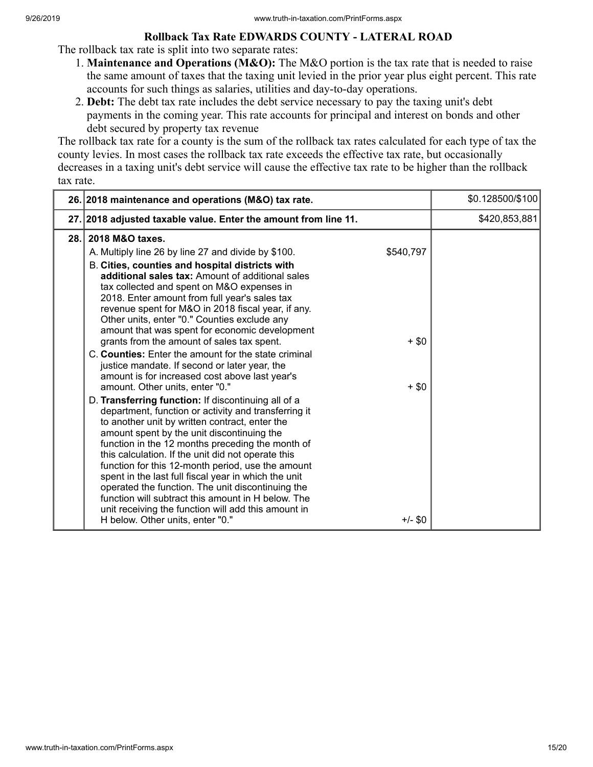#### **Rollback Tax Rate EDWARDS COUNTY - LATERAL ROAD**

The rollback tax rate is split into two separate rates:

- 1. **Maintenance and Operations (M&O):** The M&O portion is the tax rate that is needed to raise the same amount of taxes that the taxing unit levied in the prior year plus eight percent. This rate accounts for such things as salaries, utilities and day-to-day operations.
- 2. **Debt:** The debt tax rate includes the debt service necessary to pay the taxing unit's debt payments in the coming year. This rate accounts for principal and interest on bonds and other debt secured by property tax revenue

The rollback tax rate for a county is the sum of the rollback tax rates calculated for each type of tax the county levies. In most cases the rollback tax rate exceeds the effective tax rate, but occasionally decreases in a taxing unit's debt service will cause the effective tax rate to be higher than the rollback tax rate.

|      | 26. 2018 maintenance and operations (M&O) tax rate.                                                                                                                                                                                                                                                                                                                                                                                                                                                                                                                                                                                                                                                                                                                                                                                                                                                                                                                                                                                                                                                                                                                                                                                                                                                                          |                                              | \$0.128500/\$100 |
|------|------------------------------------------------------------------------------------------------------------------------------------------------------------------------------------------------------------------------------------------------------------------------------------------------------------------------------------------------------------------------------------------------------------------------------------------------------------------------------------------------------------------------------------------------------------------------------------------------------------------------------------------------------------------------------------------------------------------------------------------------------------------------------------------------------------------------------------------------------------------------------------------------------------------------------------------------------------------------------------------------------------------------------------------------------------------------------------------------------------------------------------------------------------------------------------------------------------------------------------------------------------------------------------------------------------------------------|----------------------------------------------|------------------|
|      | 27. 2018 adjusted taxable value. Enter the amount from line 11.                                                                                                                                                                                                                                                                                                                                                                                                                                                                                                                                                                                                                                                                                                                                                                                                                                                                                                                                                                                                                                                                                                                                                                                                                                                              |                                              | \$420,853,881    |
| 28.1 | 2018 M&O taxes.<br>A. Multiply line 26 by line 27 and divide by \$100.<br>B. Cities, counties and hospital districts with<br>additional sales tax: Amount of additional sales<br>tax collected and spent on M&O expenses in<br>2018. Enter amount from full year's sales tax<br>revenue spent for M&O in 2018 fiscal year, if any.<br>Other units, enter "0." Counties exclude any<br>amount that was spent for economic development<br>grants from the amount of sales tax spent.<br>C. Counties: Enter the amount for the state criminal<br>justice mandate. If second or later year, the<br>amount is for increased cost above last year's<br>amount. Other units, enter "0."<br>D. Transferring function: If discontinuing all of a<br>department, function or activity and transferring it<br>to another unit by written contract, enter the<br>amount spent by the unit discontinuing the<br>function in the 12 months preceding the month of<br>this calculation. If the unit did not operate this<br>function for this 12-month period, use the amount<br>spent in the last full fiscal year in which the unit<br>operated the function. The unit discontinuing the<br>function will subtract this amount in H below. The<br>unit receiving the function will add this amount in<br>H below. Other units, enter "0." | \$540,797<br>$+$ \$0<br>$+$ \$0<br>$+/-$ \$0 |                  |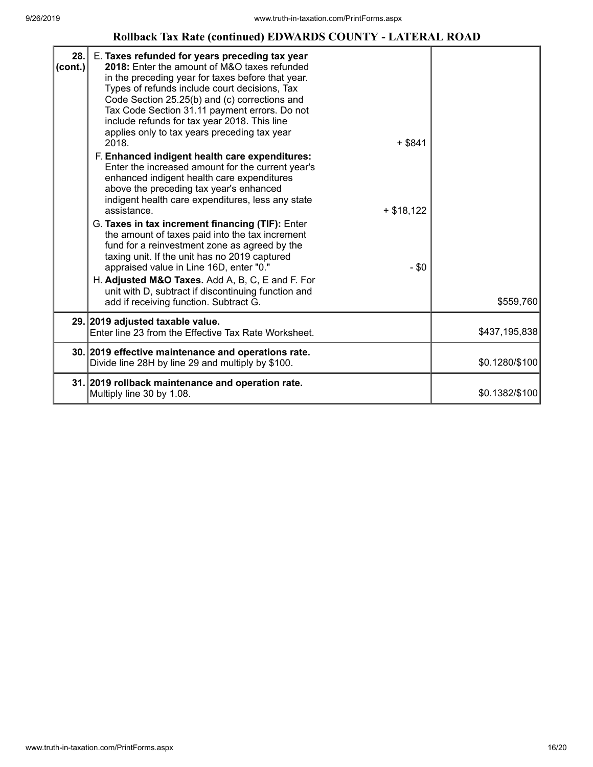#### **Rollback Tax Rate (continued) EDWARDS COUNTY - LATERAL ROAD**

| 28.<br>$ _{\rm (cont.)} $ | E. Taxes refunded for years preceding tax year<br>2018: Enter the amount of M&O taxes refunded<br>in the preceding year for taxes before that year.<br>Types of refunds include court decisions, Tax<br>Code Section 25.25(b) and (c) corrections and<br>Tax Code Section 31.11 payment errors. Do not<br>include refunds for tax year 2018. This line<br>applies only to tax years preceding tax year<br>2018.<br>$+$ \$841<br>F. Enhanced indigent health care expenditures:<br>Enter the increased amount for the current year's<br>enhanced indigent health care expenditures<br>above the preceding tax year's enhanced<br>indigent health care expenditures, less any state<br>assistance.<br>$+ $18,122$<br>G. Taxes in tax increment financing (TIF): Enter<br>the amount of taxes paid into the tax increment<br>fund for a reinvestment zone as agreed by the<br>taxing unit. If the unit has no 2019 captured<br>appraised value in Line 16D, enter "0."<br>$-$ \$0<br>H. Adjusted M&O Taxes. Add A, B, C, E and F. For<br>unit with D, subtract if discontinuing function and<br>add if receiving function. Subtract G. | \$559,760      |
|---------------------------|-------------------------------------------------------------------------------------------------------------------------------------------------------------------------------------------------------------------------------------------------------------------------------------------------------------------------------------------------------------------------------------------------------------------------------------------------------------------------------------------------------------------------------------------------------------------------------------------------------------------------------------------------------------------------------------------------------------------------------------------------------------------------------------------------------------------------------------------------------------------------------------------------------------------------------------------------------------------------------------------------------------------------------------------------------------------------------------------------------------------------------------|----------------|
|                           | 29. 2019 adjusted taxable value.                                                                                                                                                                                                                                                                                                                                                                                                                                                                                                                                                                                                                                                                                                                                                                                                                                                                                                                                                                                                                                                                                                    |                |
|                           | Enter line 23 from the Effective Tax Rate Worksheet.                                                                                                                                                                                                                                                                                                                                                                                                                                                                                                                                                                                                                                                                                                                                                                                                                                                                                                                                                                                                                                                                                | \$437,195,838  |
|                           | 30. 2019 effective maintenance and operations rate.<br>Divide line 28H by line 29 and multiply by \$100.                                                                                                                                                                                                                                                                                                                                                                                                                                                                                                                                                                                                                                                                                                                                                                                                                                                                                                                                                                                                                            | \$0.1280/\$100 |
|                           | 31. 2019 rollback maintenance and operation rate.<br>Multiply line 30 by 1.08.                                                                                                                                                                                                                                                                                                                                                                                                                                                                                                                                                                                                                                                                                                                                                                                                                                                                                                                                                                                                                                                      | \$0.1382/\$100 |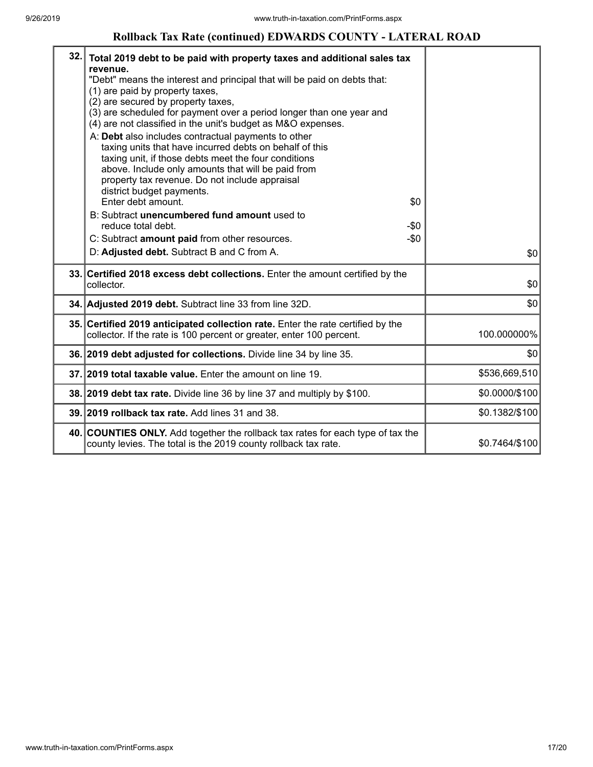#### **Rollback Tax Rate (continued) EDWARDS COUNTY - LATERAL ROAD**

| 32. | Total 2019 debt to be paid with property taxes and additional sales tax<br>revenue.<br>"Debt" means the interest and principal that will be paid on debts that:<br>(1) are paid by property taxes,<br>(2) are secured by property taxes,<br>(3) are scheduled for payment over a period longer than one year and<br>(4) are not classified in the unit's budget as M&O expenses.<br>A: Debt also includes contractual payments to other<br>taxing units that have incurred debts on behalf of this<br>taxing unit, if those debts meet the four conditions<br>above. Include only amounts that will be paid from<br>property tax revenue. Do not include appraisal<br>district budget payments. |                |
|-----|-------------------------------------------------------------------------------------------------------------------------------------------------------------------------------------------------------------------------------------------------------------------------------------------------------------------------------------------------------------------------------------------------------------------------------------------------------------------------------------------------------------------------------------------------------------------------------------------------------------------------------------------------------------------------------------------------|----------------|
|     | Enter debt amount.<br>\$0<br>B: Subtract unencumbered fund amount used to<br>reduce total debt.<br>$-\$0$<br>$-\$0$<br>C: Subtract amount paid from other resources.<br>D: Adjusted debt. Subtract B and C from A.                                                                                                                                                                                                                                                                                                                                                                                                                                                                              | \$0            |
|     | 33. Certified 2018 excess debt collections. Enter the amount certified by the<br>collector.                                                                                                                                                                                                                                                                                                                                                                                                                                                                                                                                                                                                     | \$0            |
|     | 34. Adjusted 2019 debt. Subtract line 33 from line 32D.                                                                                                                                                                                                                                                                                                                                                                                                                                                                                                                                                                                                                                         | \$0            |
|     | 35. Certified 2019 anticipated collection rate. Enter the rate certified by the<br>collector. If the rate is 100 percent or greater, enter 100 percent.                                                                                                                                                                                                                                                                                                                                                                                                                                                                                                                                         | 100.000000%    |
|     | 36. 2019 debt adjusted for collections. Divide line 34 by line 35.                                                                                                                                                                                                                                                                                                                                                                                                                                                                                                                                                                                                                              | \$0            |
|     | 37. 2019 total taxable value. Enter the amount on line 19.                                                                                                                                                                                                                                                                                                                                                                                                                                                                                                                                                                                                                                      | \$536,669,510  |
|     | 38. 2019 debt tax rate. Divide line 36 by line 37 and multiply by \$100.                                                                                                                                                                                                                                                                                                                                                                                                                                                                                                                                                                                                                        | \$0.0000/\$100 |
|     | 39. 2019 rollback tax rate. Add lines 31 and 38.                                                                                                                                                                                                                                                                                                                                                                                                                                                                                                                                                                                                                                                | \$0.1382/\$100 |
|     | 40. COUNTIES ONLY. Add together the rollback tax rates for each type of tax the<br>county levies. The total is the 2019 county rollback tax rate.                                                                                                                                                                                                                                                                                                                                                                                                                                                                                                                                               | \$0.7464/\$100 |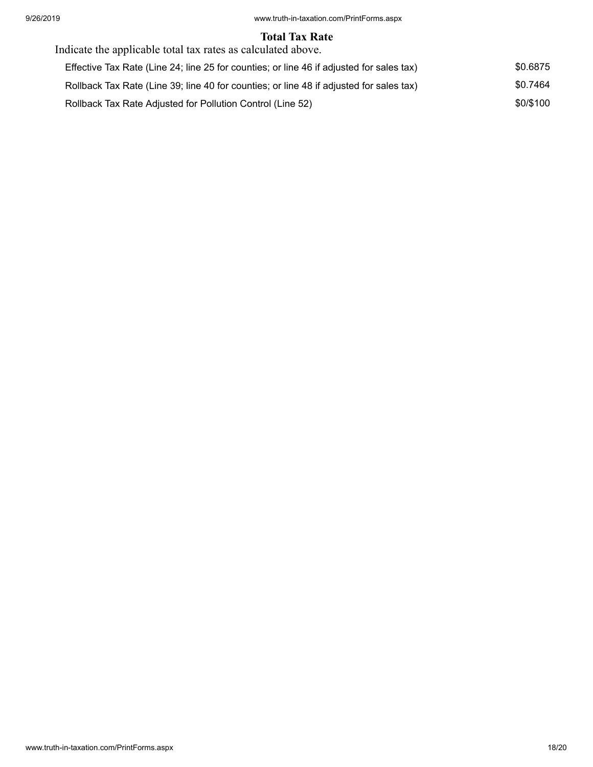#### **Total Tax Rate**

| Indicate the applicable total tax rates as calculated above.                             |           |
|------------------------------------------------------------------------------------------|-----------|
| Effective Tax Rate (Line 24; line 25 for counties; or line 46 if adjusted for sales tax) | \$0.6875  |
| Rollback Tax Rate (Line 39; line 40 for counties; or line 48 if adjusted for sales tax)  | \$0.7464  |
| Rollback Tax Rate Adjusted for Pollution Control (Line 52)                               | \$0/\$100 |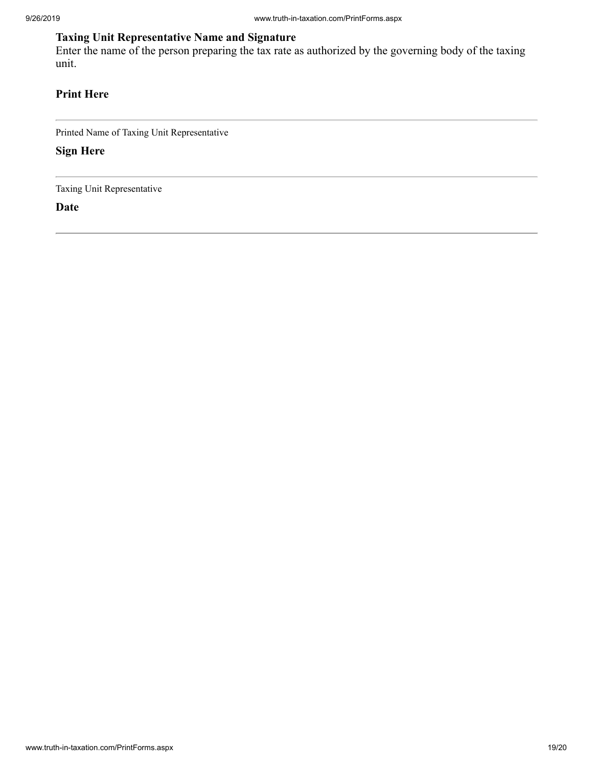## **Taxing Unit Representative Name and Signature**

Enter the name of the person preparing the tax rate as authorized by the governing body of the taxing unit.

## **Print Here**

Printed Name of Taxing Unit Representative

**Sign Here**

Taxing Unit Representative

**Date**